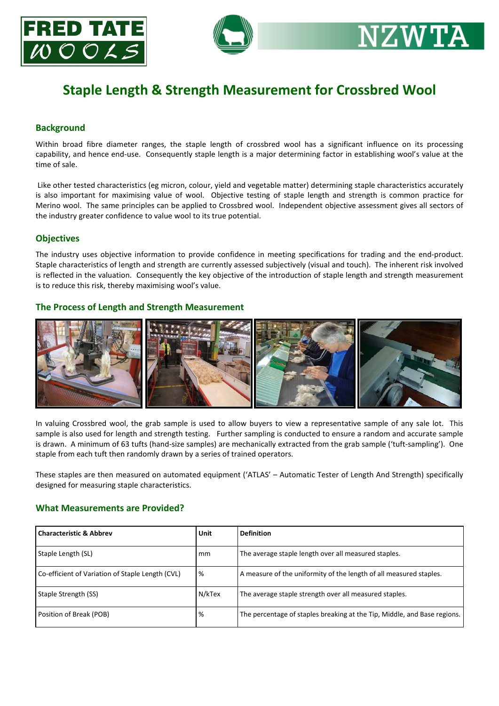



# **Staple Length & Strength Measurement for Crossbred Wool**

## **Background**

Within broad fibre diameter ranges, the staple length of crossbred wool has a significant influence on its processing capability, and hence end-use. Consequently staple length is a major determining factor in establishing wool's value at the time of sale.

Like other tested characteristics (eg micron, colour, yield and vegetable matter) determining staple characteristics accurately is also important for maximising value of wool. Objective testing of staple length and strength is common practice for Merino wool. The same principles can be applied to Crossbred wool. Independent objective assessment gives all sectors of the industry greater confidence to value wool to its true potential.

### **Objectives**

The industry uses objective information to provide confidence in meeting specifications for trading and the end-product. Staple characteristics of length and strength are currently assessed subjectively (visual and touch). The inherent risk involved is reflected in the valuation. Consequently the key objective of the introduction of staple length and strength measurement is to reduce this risk, thereby maximising wool's value.

#### **The Process of Length and Strength Measurement**



In valuing Crossbred wool, the grab sample is used to allow buyers to view a representative sample of any sale lot. This sample is also used for length and strength testing. Further sampling is conducted to ensure a random and accurate sample is drawn. A minimum of 63 tufts (hand-size samples) are mechanically extracted from the grab sample ('tuft-sampling'). One staple from each tuft then randomly drawn by a series of trained operators.

These staples are then measured on automated equipment ('ATLAS' – Automatic Tester of Length And Strength) specifically designed for measuring staple characteristics.

#### **What Measurements are Provided?**

| <b>Characteristic &amp; Abbrev</b>               | Unit   | <b>Definition</b>                                                        |
|--------------------------------------------------|--------|--------------------------------------------------------------------------|
| Staple Length (SL)                               | mm     | The average staple length over all measured staples.                     |
| Co-efficient of Variation of Staple Length (CVL) | %      | A measure of the uniformity of the length of all measured staples.       |
| Staple Strength (SS)                             | N/kTex | The average staple strength over all measured staples.                   |
| Position of Break (POB)                          | %      | The percentage of staples breaking at the Tip, Middle, and Base regions. |